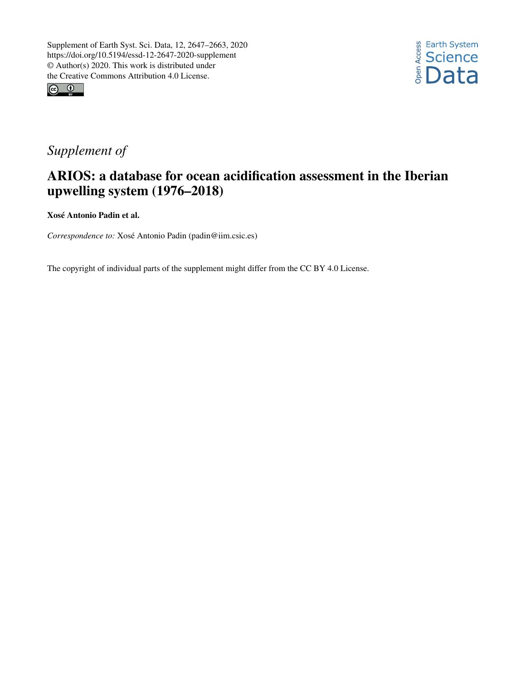



## *Supplement of*

## ARIOS: a database for ocean acidification assessment in the Iberian upwelling system (1976–2018)

Xosé Antonio Padin et al.

*Correspondence to:* Xosé Antonio Padin (padin@iim.csic.es)

The copyright of individual parts of the supplement might differ from the CC BY 4.0 License.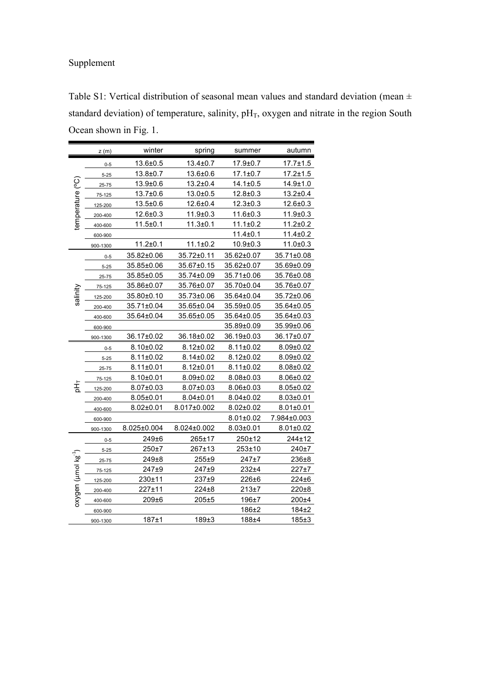## Supplement

Table S1: Vertical distribution of seasonal mean values and standard deviation (mean  $\pm$ standard deviation) of temperature, salinity,  $pH_T$ , oxygen and nitrate in the region South Ocean shown in Fig. 1.

|                                 | z(m)      | winter          | spring          | summer          | autumn          |
|---------------------------------|-----------|-----------------|-----------------|-----------------|-----------------|
| temperature (°C)                | $0 - 5$   | 13.6±0.5        | $13.4 \pm 0.7$  | 17.9±0.7        | 17.7±1.5        |
|                                 | $5 - 25$  | $13.8 + 0.7$    | 13.6±0.6        | $17.1 \pm 0.7$  | $17.2 \pm 1.5$  |
|                                 | 25-75     | $13.9 \pm 0.6$  | $13.2 \pm 0.4$  | $14.1 \pm 0.5$  | $14.9 \pm 1.0$  |
|                                 | 75-125    | $13.7 \pm 0.6$  | $13.0 + 0.5$    | $12.8 \pm 0.3$  | $13.2 \pm 0.4$  |
|                                 | 125-200   | $13.5 \pm 0.6$  | 12.6±0.4        | $12.3 \pm 0.3$  | $12.6 \pm 0.3$  |
|                                 | 200-400   | $12.6 \pm 0.3$  | 11.9±0.3        | $11.6 \pm 0.3$  | $11.9 \pm 0.3$  |
|                                 | 400-600   | $11.5 \pm 0.1$  | 11.3±0.1        | $11.1 \pm 0.2$  | $11.2 \pm 0.2$  |
|                                 | 600-900   |                 |                 | 11.4±0.1        | $11.4 \pm 0.2$  |
|                                 | 900-1300  | $11.2 \pm 0.1$  | $11.1 \pm 0.2$  | $10.9 + 0.3$    | $11.0 + 0.3$    |
|                                 | $0 - 5$   | 35.82±0.06      | 35.72±0.11      | 35.62±0.07      | 35.71±0.08      |
|                                 | $5 - 25$  | 35.85±0.06      | 35.67±0.15      | 35.62±0.07      | 35.69±0.09      |
|                                 | $25 - 75$ | 35.85±0.05      | 35.74±0.09      | 35.71±0.06      | 35.76±0.08      |
|                                 | 75-125    | 35.86±0.07      | 35.76±0.07      | 35.70±0.04      | 35.76±0.07      |
| salinity                        | 125-200   | 35.80±0.10      | 35.73±0.06      | 35.64±0.04      | 35.72±0.06      |
|                                 | 200-400   | 35.71±0.04      | 35.65±0.04      | 35.59±0.05      | 35.64±0.05      |
|                                 | 400-600   | 35.64±0.04      | 35.65±0.05      | 35.64±0.05      | 35.64±0.03      |
|                                 | 600-900   |                 |                 | 35.89±0.09      | 35.99±0.06      |
|                                 | 900-1300  | 36.17±0.02      | 36.18±0.02      | 36.19±0.03      | 36.17±0.07      |
|                                 | $0 - 5$   | $8.10 \pm 0.02$ | 8.12±0.02       | $8.11 \pm 0.02$ | 8.09±0.02       |
|                                 | $5 - 25$  | $8.11 \pm 0.02$ | $8.14 \pm 0.02$ | 8.12±0.02       | 8.09±0.02       |
|                                 | 25-75     | $8.11 \pm 0.01$ | $8.12 \pm 0.01$ | $8.11 \pm 0.02$ | 8.08±0.02       |
|                                 | 75-125    | 8.10±0.01       | 8.09±0.02       | $8.08 \pm 0.03$ | 8.06±0.02       |
| 玉                               | 125-200   | 8.07±0.03       | 8.07±0.03       | 8.06±0.03       | $8.05 \pm 0.02$ |
|                                 | 200-400   | $8.05 \pm 0.01$ | $8.04 \pm 0.01$ | $8.04 \pm 0.02$ | $8.03 \pm 0.01$ |
|                                 | 400-600   | $8.02{\pm}0.01$ | 8.017±0.002     | $8.02 \pm 0.02$ | $8.01 \pm 0.01$ |
|                                 | 600-900   |                 |                 | $8.01 \pm 0.02$ | 7.984±0.003     |
|                                 | 900-1300  | 8.025±0.004     | 8.024±0.002     | $8.03 \pm 0.01$ | $8.01 \pm 0.02$ |
|                                 | $0 - 5$   | 249±6           | 265±17          | 250±12          | 244±12          |
|                                 | $5 - 25$  | 250±7           | 267±13          | 253±10          | 240±7           |
| oxygen (µmol kg <sup>-1</sup> ) | 25-75     | 249±8           | 255±9           | 247±7           | 236±8           |
|                                 | 75-125    | 247±9           | 247±9           | 232±4           | $227 + 7$       |
|                                 | 125-200   | 230±11          | 237±9           | $226 \pm 6$     | 224±6           |
|                                 | 200-400   | $227 + 11$      | 224±8           | $213+7$         | $220+8$         |
|                                 | 400-600   | 209±6           | $205 + 5$       | 196±7           | $200+4$         |
|                                 | 600-900   |                 |                 | 186±2           | 184±2           |
|                                 | 900-1300  | $187 + 1$       | $189+3$         | 188±4           | 185±3           |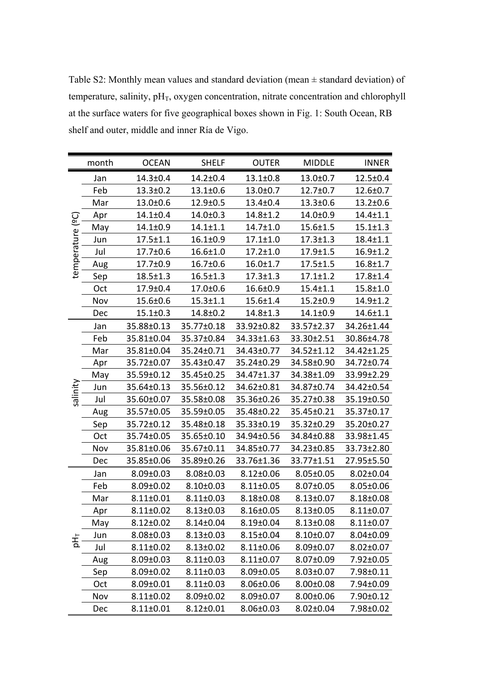Table S2: Monthly mean values and standard deviation (mean ± standard deviation) of temperature, salinity,  $pH_T$ , oxygen concentration, nitrate concentration and chlorophyll at the surface waters for five geographical boxes shown in Fig. 1: South Ocean, RB shelf and outer, middle and inner Ría de Vigo.

|                  | month | <b>OCEAN</b>    | <b>SHELF</b>    | <b>OUTER</b>    | <b>MIDDLE</b>   | <b>INNER</b>    |
|------------------|-------|-----------------|-----------------|-----------------|-----------------|-----------------|
| temperature (ºC) | Jan   | $14.3 \pm 0.4$  | $14.2 \pm 0.4$  | $13.1 \pm 0.8$  | $13.0 \pm 0.7$  | $12.5 \pm 0.4$  |
|                  | Feb   | $13.3 \pm 0.2$  | $13.1 \pm 0.6$  | $13.0 \pm 0.7$  | $12.7 \pm 0.7$  | $12.6 \pm 0.7$  |
|                  | Mar   | $13.0 \pm 0.6$  | $12.9 \pm 0.5$  | $13.4 \pm 0.4$  | $13.3 \pm 0.6$  | $13.2 \pm 0.6$  |
|                  | Apr   | $14.1 \pm 0.4$  | $14.0 \pm 0.3$  | $14.8 \pm 1.2$  | $14.0 \pm 0.9$  | $14.4 \pm 1.1$  |
|                  | May   | $14.1 \pm 0.9$  | $14.1 \pm 1.1$  | $14.7 \pm 1.0$  | $15.6 \pm 1.5$  | $15.1 \pm 1.3$  |
|                  | Jun   | $17.5 \pm 1.1$  | $16.1 \pm 0.9$  | $17.1 \pm 1.0$  | $17.3 \pm 1.3$  | $18.4 \pm 1.1$  |
|                  | Jul   | $17.7 \pm 0.6$  | $16.6 \pm 1.0$  | $17.2 \pm 1.0$  | $17.9 \pm 1.5$  | $16.9 \pm 1.2$  |
|                  | Aug   | $17.7 \pm 0.9$  | $16.7 \pm 0.6$  | $16.0 \pm 1.7$  | $17.5 \pm 1.5$  | $16.8 \pm 1.7$  |
|                  | Sep   | $18.5 \pm 1.3$  | $16.5 \pm 1.3$  | $17.3 \pm 1.3$  | $17.1 \pm 1.2$  | $17.8 \pm 1.4$  |
|                  | Oct   | $17.9 \pm 0.4$  | $17.0 \pm 0.6$  | $16.6 \pm 0.9$  | $15.4 \pm 1.1$  | $15.8 \pm 1.0$  |
|                  | Nov   | $15.6 \pm 0.6$  | $15.3 \pm 1.1$  | $15.6 \pm 1.4$  | $15.2 \pm 0.9$  | $14.9 \pm 1.2$  |
|                  | Dec   | $15.1 \pm 0.3$  | $14.8 \pm 0.2$  | $14.8 \pm 1.3$  | $14.1 \pm 0.9$  | $14.6 \pm 1.1$  |
|                  | Jan   | 35.88±0.13      | 35.77±0.18      | 33.92±0.82      | 33.57±2.37      | 34.26±1.44      |
|                  | Feb   | 35.81±0.04      | 35.37±0.84      | 34.33±1.63      | 33.30±2.51      | 30.86±4.78      |
|                  | Mar   | 35.81±0.04      | 35.24±0.71      | 34.43±0.77      | 34.52±1.12      | 34.42±1.25      |
|                  | Apr   | 35.72±0.07      | 35.43±0.47      | 35.24±0.29      | 34.58±0.90      | 34.72±0.74      |
|                  | May   | 35.59±0.12      | 35.45±0.25      | 34.47±1.37      | 34.38±1.09      | 33.99±2.29      |
| salinity         | Jun   | 35.64±0.13      | 35.56±0.12      | 34.62±0.81      | 34.87±0.74      | 34.42±0.54      |
|                  | Jul   | 35.60±0.07      | 35.58±0.08      | 35.36±0.26      | 35.27±0.38      | 35.19±0.50      |
|                  | Aug   | 35.57±0.05      | 35.59±0.05      | 35.48±0.22      | 35.45±0.21      | 35.37±0.17      |
|                  | Sep   | 35.72±0.12      | 35.48±0.18      | 35.33±0.19      | 35.32±0.29      | 35.20±0.27      |
|                  | Oct   | 35.74±0.05      | 35.65±0.10      | 34.94±0.56      | 34.84±0.88      | 33.98±1.45      |
|                  | Nov   | 35.81±0.06      | 35.67±0.11      | 34.85±0.77      | 34.23±0.85      | 33.73±2.80      |
|                  | Dec   | 35.85±0.06      | 35.89±0.26      | 33.76±1.36      | 33.77±1.51      | 27.95±5.50      |
|                  | Jan   | $8.09 \pm 0.03$ | $8.08 \pm 0.03$ | $8.12 \pm 0.06$ | $8.05 \pm 0.05$ | $8.02 \pm 0.04$ |
|                  | Feb   | $8.09 \pm 0.02$ | $8.10 \pm 0.03$ | $8.11 \pm 0.05$ | $8.07 \pm 0.05$ | $8.05 \pm 0.06$ |
|                  | Mar   | $8.11 \pm 0.01$ | $8.11 \pm 0.03$ | $8.18 \pm 0.08$ | $8.13 \pm 0.07$ | $8.18 \pm 0.08$ |
| 침                | Apr   | $8.11 \pm 0.02$ | $8.13 \pm 0.03$ | $8.16 \pm 0.05$ | $8.13 \pm 0.05$ | $8.11 \pm 0.07$ |
|                  | May   | $8.12 \pm 0.02$ | $8.14 \pm 0.04$ | $8.19 \pm 0.04$ | $8.13 \pm 0.08$ | $8.11 \pm 0.07$ |
|                  | Jun   | $8.08 \pm 0.03$ | $8.13 \pm 0.03$ | $8.15 \pm 0.04$ | $8.10 \pm 0.07$ | $8.04 \pm 0.09$ |
|                  | Jul   | $8.11 \pm 0.02$ | $8.13 \pm 0.02$ | $8.11 \pm 0.06$ | $8.09 \pm 0.07$ | $8.02 \pm 0.07$ |
|                  | Aug   | $8.09 \pm 0.03$ | $8.11 \pm 0.03$ | $8.11 \pm 0.07$ | $8.07 \pm 0.09$ | 7.92±0.05       |
|                  | Sep   | $8.09 \pm 0.02$ | $8.11 \pm 0.03$ | $8.09 \pm 0.05$ | $8.03 \pm 0.07$ | 7.98±0.11       |
|                  | Oct   | $8.09 \pm 0.01$ | $8.11 \pm 0.03$ | $8.06 \pm 0.06$ | $8.00 \pm 0.08$ | 7.94±0.09       |
|                  | Nov   | $8.11 \pm 0.02$ | $8.09 \pm 0.02$ | $8.09 \pm 0.07$ | $8.00 \pm 0.06$ | 7.90±0.12       |
|                  | Dec   | $8.11 \pm 0.01$ | $8.12 \pm 0.01$ | $8.06 \pm 0.03$ | $8.02 \pm 0.04$ | 7.98±0.02       |